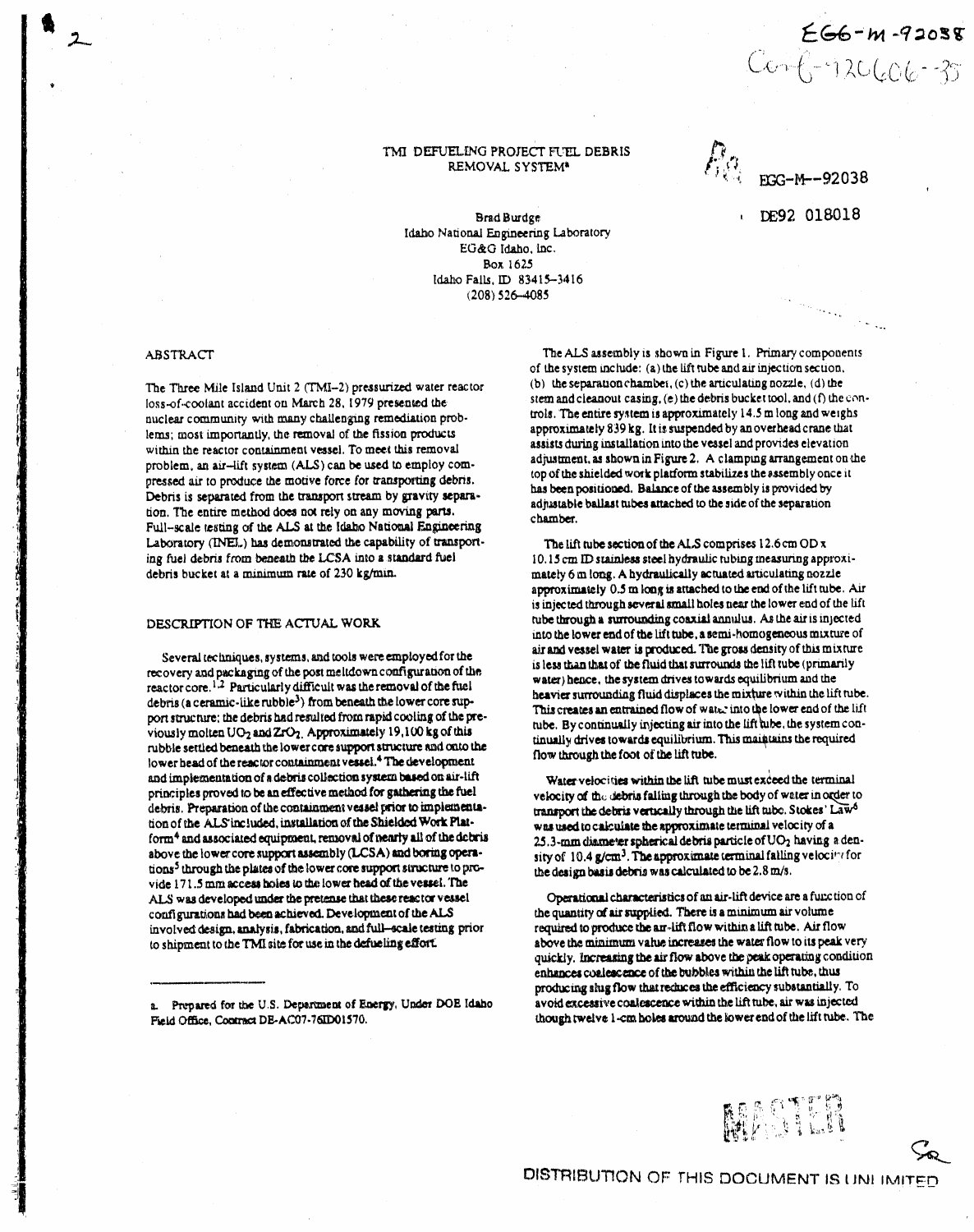# $266 - m - 92058$  $C - 12060 - 35$

# TMI DEFUELING PROJECT FUEL DEBRIS REMOVAL SYSTEM\*

DE92 018018

Brad Burdge Idaho National Engineering Laboratory EG&G Idaho, Inc. Box 1625 Idaho Falls, ID 83415-3416  $(208)$  526-4085

### **ABSTRACT**

The Three Mile Island Unit 2 (TMI-2) pressurized water reactor loss-of-coolant accident on March 28, 1979 presented the nuclear community with many challenging remediation problems; most importantly, the removal of the fission products within the reactor containment vessel. To meet this removal problem, an air-lift system (ALS) can be used to employ compressed air to produce the motive force for transporting debris. Debris is separated from the transport stream by gravity separation. The entire method does not rely on any moving parts. Full-scale testing of the ALS at the Idaho National Engineering Laboratory (INEL) has demonstrated the capability of transporting fuel debris from beneath the LCSA into a standard fuel debris bucket at a minimum rate of 230 kg/min.

# DESCRIPTION OF THE ACTUAL WORK

Several techniques, systems, and tools were employed for the recovery and packaging of the post meltdown configuration of the reactor core.<sup>1.2</sup> Particularly difficult was the removal of the fuel debris (a ceramic-like rubble<sup>3</sup>) from beneath the lower core support structure; the debris had resulted from rapid cooling of the previously molten UO<sub>2</sub> and ZrO<sub>2</sub>. Approximately 19,100 kg of this rubble settled beneath the lower core support structure and onto the lower head of the reactor containment vessel.<sup>4</sup> The development and implementation of a debris collection system based on air-lift principles proved to be an effective method for gathering the fuel debris. Preparation of the containment vessel prior to implementation of the ALS included, installation of the Shielded Work Platform<sup>4</sup> and associated equipment, removal of nearly all of the debris above the lower core support assembly (LCSA) and boring operations<sup>5</sup> through the plates of the lower core support structure to provide 171.5 mm access holes to the lower head of the vessel. The ALS was developed under the pretense that these reactor vessel configurations had been achieved. Development of the ALS involved design, analysis, fabrication, and full-scale testing prior to shipment to the TMI site for use in the defueling effort.

a. Prepared for the U.S. Department of Energy, Under DOE Idaho Field Office, Contract DE-AC07-76ID01570.

The ALS assembly is shown in Figure 1. Primary components of the system include: (a) the lift tube and air injection section. (b) the separation chamber,  $(c)$  the articulating nozzle,  $(d)$  the stem and cleanout casing, (e) the debris bucket tool, and (f) the controls. The entire system is approximately 14.5 m long and weighs approximately 839 kg. It is suspended by an overhead crane that assists during installation into the vessel and provides elevation adjustment, as shown in Figure 2. A clamping arrangement on the top of the shielded work platform stabilizes the assembly once it has been positioned. Balance of the assembly is provided by adjustable ballast tubes attached to the side of the separation chamber.

The lift tube section of the ALS comprises  $12.6 \text{ cm OD x}$ 10.15 cm ID stainless steel hydraulic tubing measuring approximately 6 m long. A hydraulically actuated articulating nozzle approximately 0.5 m long is attached to the end of the lift tube. Air is injected through several small holes near the lower end of the lift tube through a surrounding coaxial annulus. As the air is injected into the lower end of the lift tube, a semi-homogeneous mixture of air and vessel water is produced. The gross density of this mixture is less than that of the fluid that surrounds the lift tube (primarily water) hence, the system drives towards equilibrium and the heavier surrounding fluid displaces the mixture within the lift tube. This creates an entrained flow of water into the lower end of the lift tube. By continually injecting air into the lift tube, the system continually drives towards equilibrium. This maintains the required flow through the foot of the lift tube.

Water velocities within the lift tube must exceed the terminal velocity of the debris falling through the body of water in order to transport the debris vertically through the lift tube. Stokes' Law<sup>6</sup> was used to calculate the approximate terminal velocity of a 25.3-mm diameter spherical debris particle of  $UO<sub>2</sub>$  having a density of 10.4 g/cm<sup>3</sup>. The approximate terminal falling velocitation the design basis debris was calculated to be 2.8 m/s.

Operational characteristics of an air-lift device are a function of the quantity of air supplied. There is a minimum air volume required to produce the an-lift flow within a lift tube. Air flow above the minimum value increases the water flow to its peak very quickly. Increasing the air flow above the peak operating condition enhances coalescence of the bubbles within the lift tube, thus producing slug flow that reduces the efficiency substantially. To avoid excessive coalescence within the lift tube, air was injected though twelve 1-cm holes around the lower end of the lift tube. The

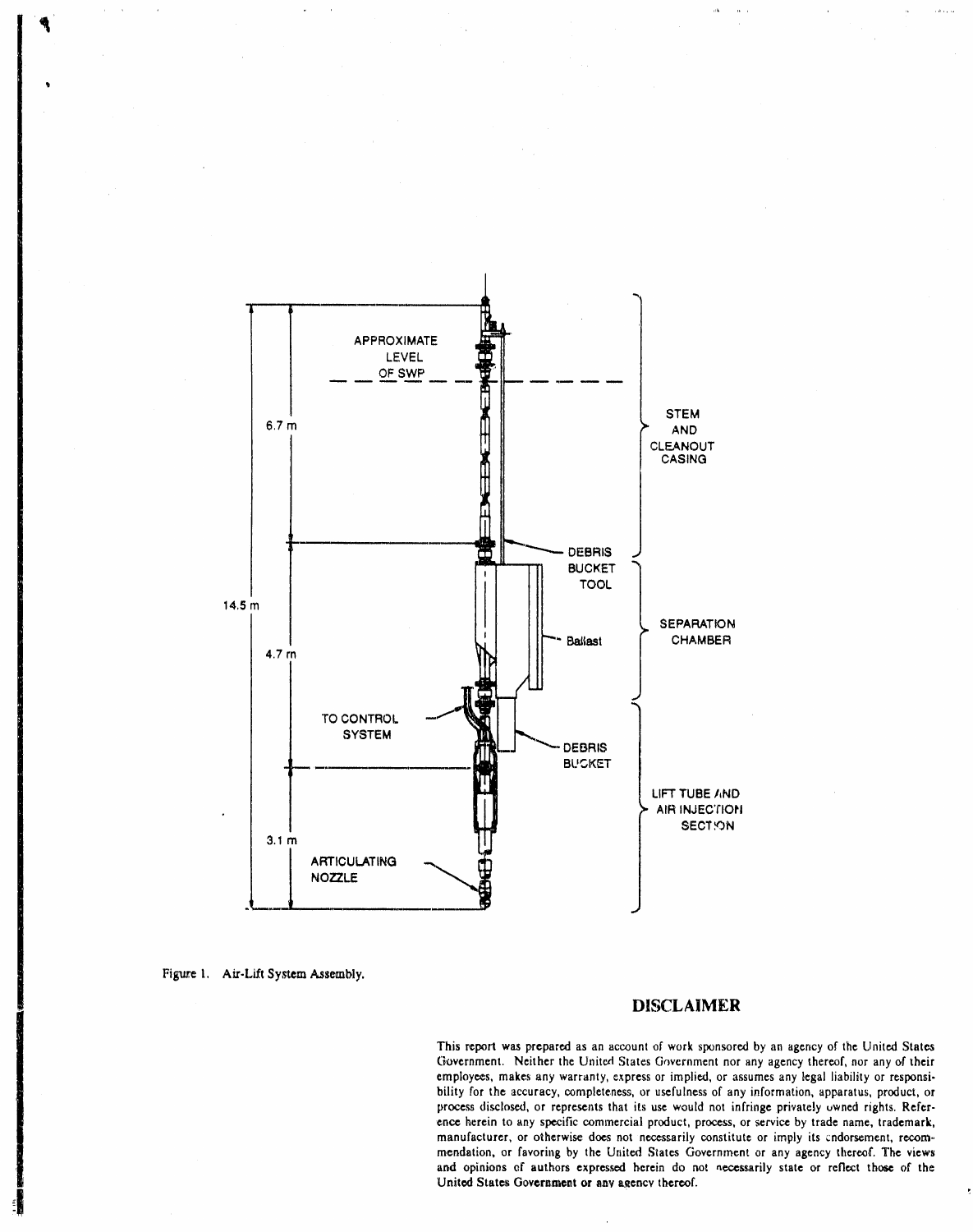

Figure 1. Air-Lift System Assembly.

# **DISCLAIMER**

This report was prepared as an account of work sponsored by an agency of the United States Government. Neither the United States Government nor any agency thereof, nor any of their employees, makes any warranty, express or implied, or assumes any legal liability or responsibility for the accuracy, completeness, or usefulness of any information, apparatus, product, or process disclosed, or represents that its use would not infringe privately owned rights. Reference herein to any specific commercial product, process, or service by trade name, trademark, manufacturer, or otherwise does not necessarily constitute or imply its endorsement, recommendation, or favoring by the United States Government or any agency thereof. The views and opinions of authors expressed herein do not necessarily state or reflect those of the United States Government or any agency thereof.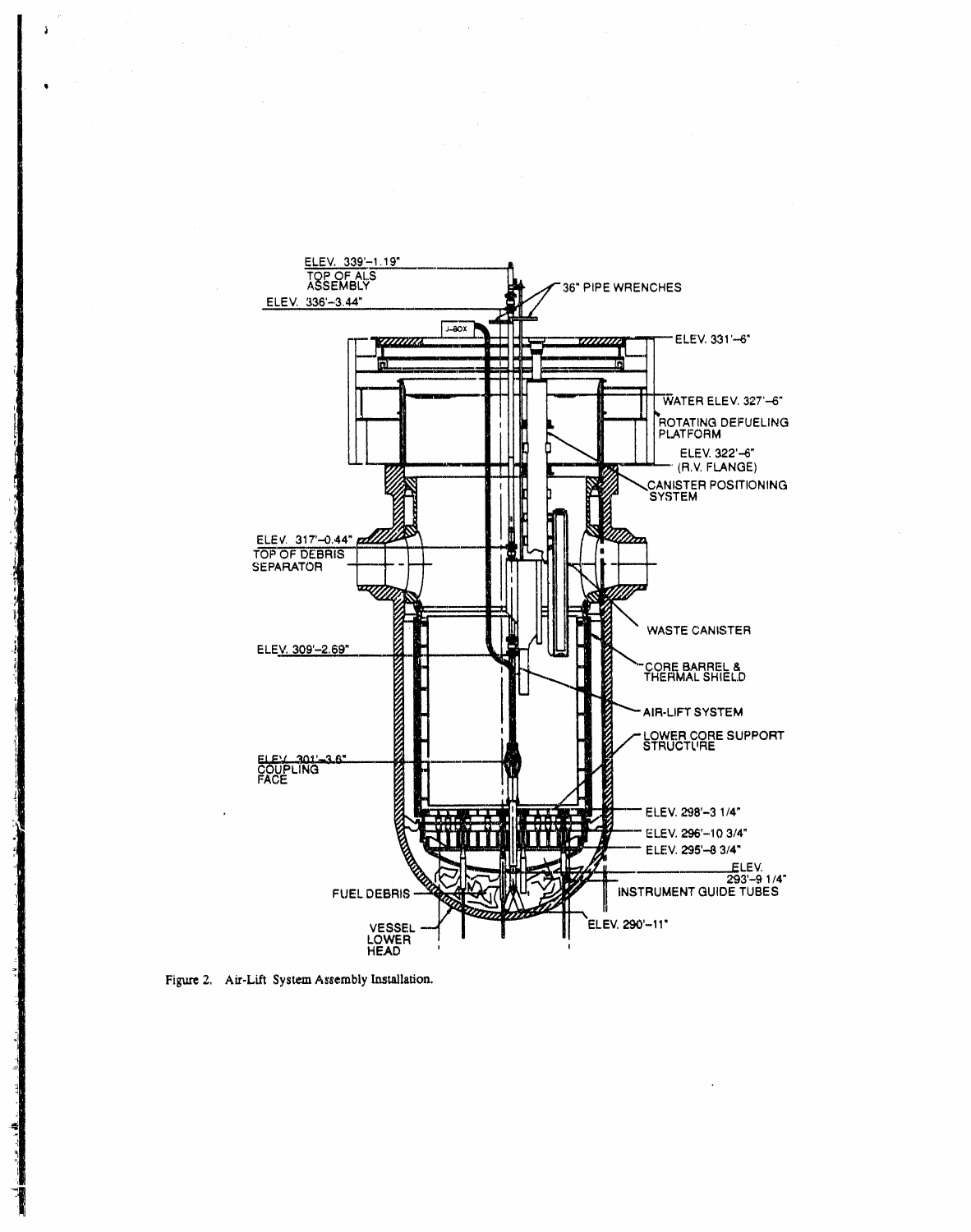

Figure 2. Air-Lift System Assembly Installation.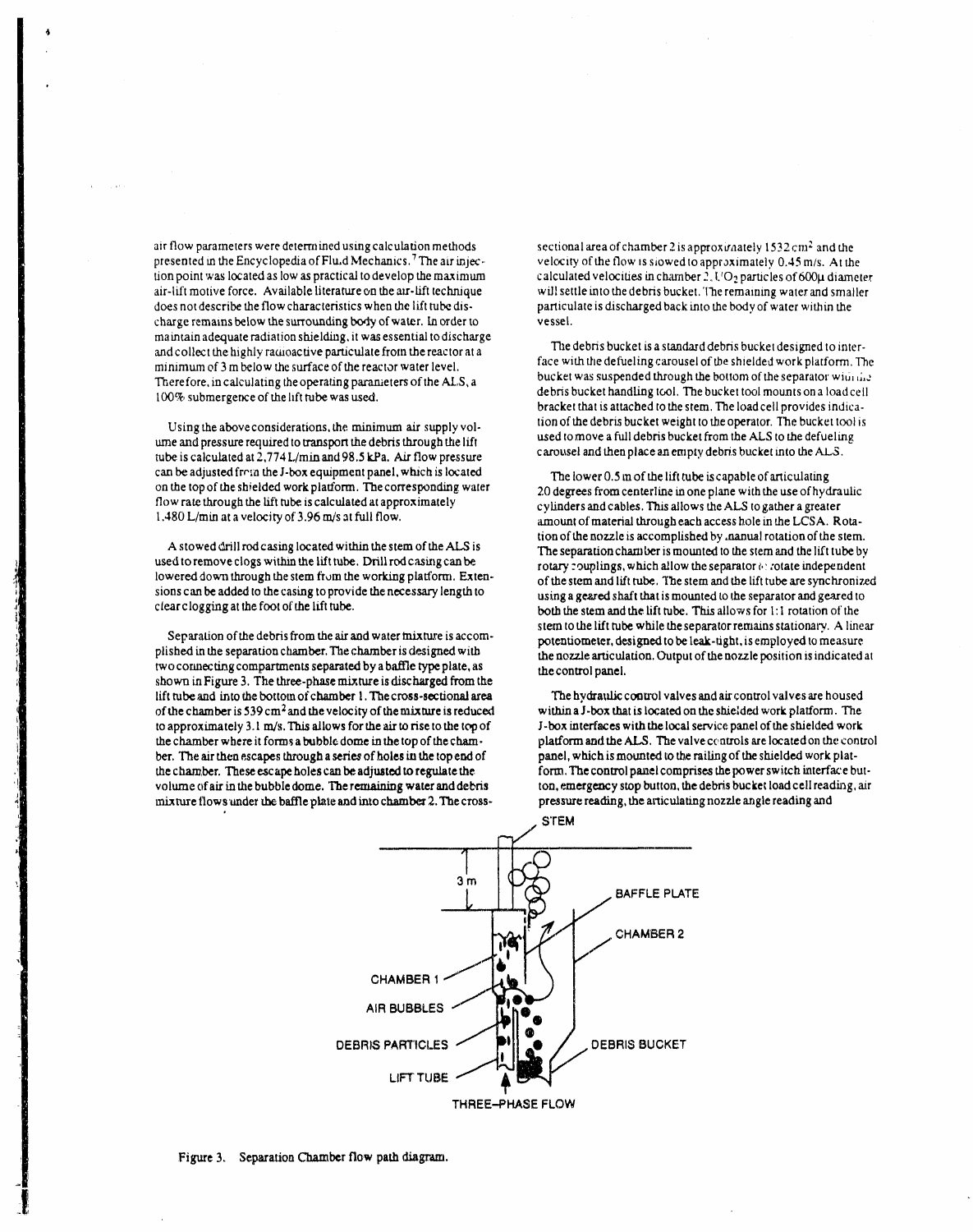air flow parameters were determined using calculation methods presented in the Encyclopedia of Flu.d Mechanics.<sup>7</sup> The air injection point was located as low as practical to develop the maximum air-lift motive force. Available literature on the air-lift technique does not describe the flow characteristics when the lift tube discharge remains below the surrounding body of water. In order to maintain adequate radiation shielding, it was essential to discharge and collect the highly radioactive particulate from the reactor at a minimum of 3 m below the surface of the reactor water level. Therefore, in calculating the operating parameters of the ALS, a 100% submergence of the lift tube was used.

Using the above considerations, the minimum air supply volume and pressure required to transport the debris through the lift tube is calculated at 2,774 L/min and 98.5 kPa. Air flow pressure can be adjusted from the J-box equipment panel, which is located on the top of the shielded work platform. The corresponding water flow rate through the lift tube is calculated at approximately 1.480 L/min at a velocity of 3.96 m/s at full flow.

A stowed drill rod casing located within the stem of the ALS is used to remove clogs within the lift tube. Drill rod casing can be lowered down through the stem from the working platform. Extensions can be added to the casing to provide the necessary length to clear clogging at the foot of the lift tube.

Separation of the debris from the air and water mixture is accomplished in the separation chamber. The chamber is designed with two connecting compartments separated by a baffle type plate, as shown in Figure 3. The three-phase mixture is discharged from the lift tube and into the bottom of chamber 1. The cross-sectional area of the chamber is  $539 \text{ cm}^2$  and the velocity of the mixture is reduced to approximately 3.1 m/s. This allows for the air to rise to the top of the chamber where it forms a bubble dome in the top of the chamber. The air then escapes through a series of holes in the top end of the chamber. These escape holes can be adjusted to regulate the volume of air in the bubble dome. The remaining water and debris mixture flows under the baffle plate and into chamber 2. The cross-

sectional area of chamber 2 is approximately  $1532 \text{ cm}^2$  and the velocity of the flow is slowed to approximately 0.45 m/s. At the calculated velocities in chamber  $2,1/\mathrm{O}_2$  particles of 600µ diameter will settle into the debris bucket. The remaining water and smaller particulate is discharged back into the body of water within the vessel.

The debris bucket is a standard debris bucket designed to interface with the defueling carousel of the shielded work platform. The bucket was suspended through the bottom of the separator with the debris bucket handling tool. The bucket tool mounts on a load cell bracket that is attached to the stem. The load cell provides indication of the debris bucket weight to the operator. The bucket tool is used to move a full debris bucket from the ALS to the defueling carousel and then place an empty debris bucket into the ALS.

The lower 0.5 m of the lift tube is capable of articulating 20 degrees from centerline in one plane with the use of hydraulic cylinders and cables. This allows the ALS to gather a greater amount of material through each access hole in the LCSA. Rotation of the nozzle is accomplished by .nanual rotation of the stem. The separation chamber is mounted to the stem and the lift tube by rotary couplings, which allow the separator or rotate independent of the stem and lift tube. The stem and the lift tube are synchronized using a geared shaft that is mounted to the separator and geared to both the stem and the lift tube. This allows for 1:1 rotation of the stem to the lift tube while the separator remains stationary. A linear potentiometer, designed to be leak-tight, is employed to measure the nozzle articulation. Output of the nozzle position is indicated at the control panel.

The hydraulic control valves and air control valves are housed within a J-box that is located on the shielded work platform. The J-box interfaces with the local service panel of the shielded work platform and the ALS. The valve controls are located on the control panel, which is mounted to the railing of the shielded work platform. The control panel comprises the power switch interface button, emergency stop button, the debris bucket load cell reading, air pressure reading, the articulating nozzle angle reading and



Figure 3. Separation Chamber flow path diagram.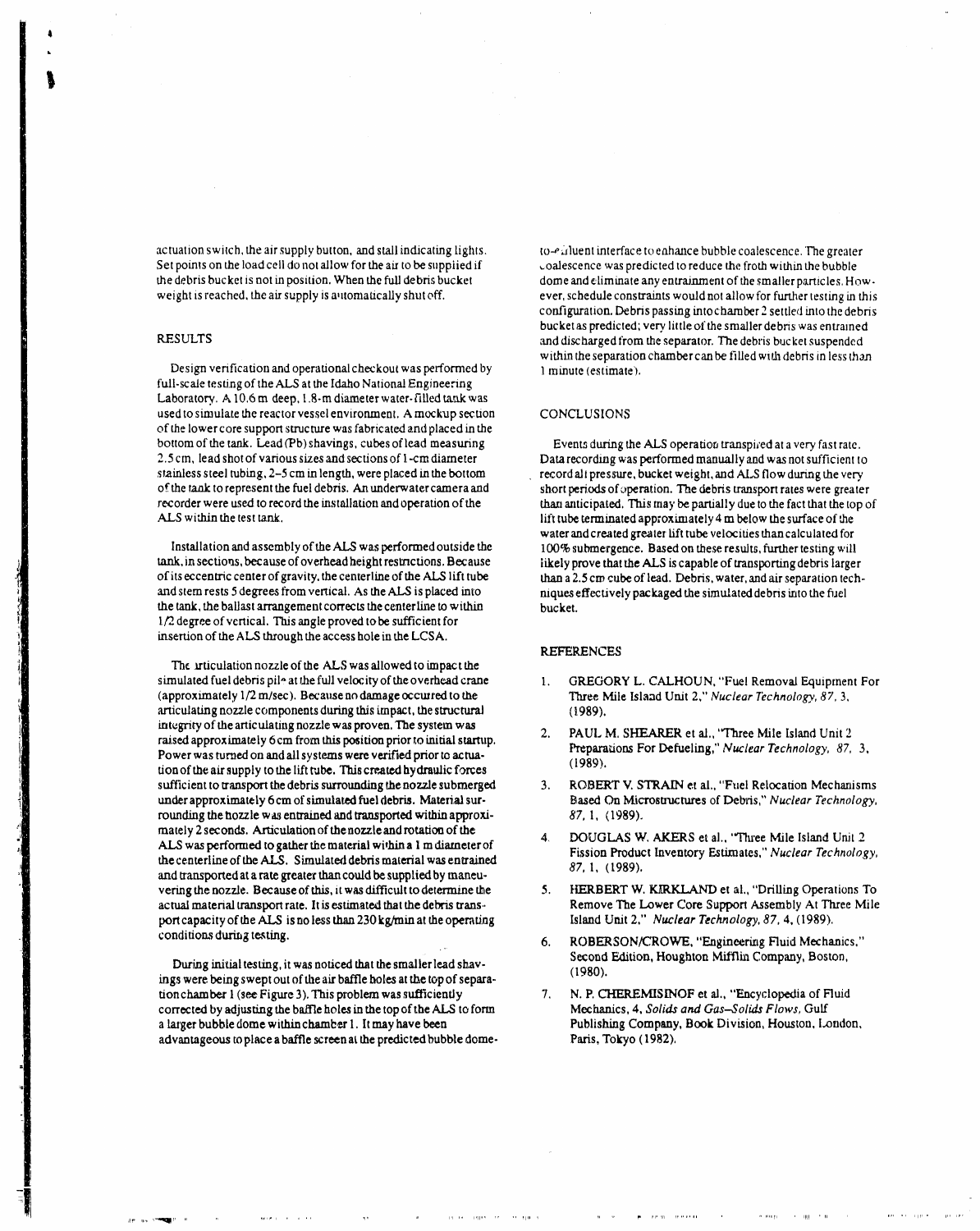actuation switch, the air supply button, and stall indicating lights.<br>Set points on the load cell do not allow for the air to be supplied if coalescence was predicted to reduce the froth within the bubble Set points on the load cell do not allow for the air to be supplied if<br>the debris bucket is not in position. When the full debris bucket

,1'\_' q**,**,, \_1 I*'* **"**

Design verification and operational checkout was performed by full-scale testing of the ALS at the Idaho National Engineering Laboratory. A 10.6 m deep, 1.8-m diameter water-filled tank was used to simulate the reactor vessel environment. A mockup section CONCLUSIONS of the lower core support structure was fabricated and placed inthe bottom of the tank. Lead *(Pb)* shavings, cubes of lead measuring Events during the *ALS* operation transpired at a very fast rate.<br>2.5 cm, lead shot of various sizes and sections of 1-cm diameter Data recording was perfor 2.5 cm, lead shot of various sizes and sections of 1-cm diameter Data recording was performed manually and was not sufficient to stainless steel tubing, 2-5 cm in length, were placed in the bottom record all pressure, buck of the tank to represent the fuel debris. An underwater camera and recorder were used to record the installation and operation of the

tank, in sections, because of overhead height restrictions. Because likely prove that the ALS is capable of transporting debris larger<br>of its eccentric center of gravity, the centerline of the ALS lift tube larger han a 2. of its eccentric center of gravity, the centerline of the ALS lift tube than a 2.5 cm cube of lead. Debris, water, and air separation tech-<br>and stem rests 5 degrees from vertical. As the ALS is placed into niques effective the tank*,* the ballast arrangement correct*s* the centerlme to within bucket**.**  $1/2$  degree of vertical. This angle proved to be sufficient for insertion of the ALS through the access hole in the LCSA.

The intriculation nozzle of the ALS was allowed to impact the simulated fuel debris pile at the full velocity of the overhead crane simulated fuel debris pil<sup>2</sup> at the full velocity of the overhead crane 1. GREGORY L. CALHOUN, "Fuel Removal Equipment For<br>(approximately 1/2 m/sec). Because no damage occurred to the 1. Three Mile Island Unit 2." Nuclear articulating nozzle components during this impact, the structural integrity of the articulating nozzle was proven. The system was integrity of the articulating nozzle was proven. The system was<br>
raised approximately 6 cm from this position prior to initial startup.<br> **Example 2.** PAUL M. SHEARER et al., "Three Mile Island Unit *2*<br> **Preparations For D** Power was turned on and all systems were verified prior to actua-<br>tion of the signal state of his life the This agents dender the former (1989). tion of the air supply to the lift tube. This created hydraulic forces (1989).<br>sufficient to transport the debris surrounding the nozzle submerged 3. ROBERT V. STRAIN et al., "Fuel Relocation Mechanisms sufficient to transport the debris surrounding the nozzle submerged 3. ROBERT V. STRAIN et al., "Fuel Relocation Mechanisms under approximately 6cm of simulated fuel debris. Material sur-<br>Based On Microstructures of Debris under approximately 6 cm of simulated fuel debris. Material sur-<br>rounding the hozzle was entrained and transported within approxi-<br> $87, 1$ , (1989). rounding the hozzle was entrained and transported within approximately 2 seconds. Articulation of the nozzle and rotation of the mately 2 seconds. Articulation of the nozzle and rotation of the 4. DOUGLAS W, AKERS et al., "Three Mile Island Unit 2<br>ALS was performed to gather the material within a 1 m diameter of Fission Bodyet Inventory Estimates is the centerline of the ALS. Simulated debri**s** material wa*s*entrained and transported at a rate greater than could be supplied by maneu-<br>vering the nozzle. Because of this, it was difficult to determine the **1999**. HERBERT W. KIRKLAND et al., "Drilling Operations To vering the nozzle. Because of this, it was difficult to determine the 5. HERBERT W. KIRKLAND et al., "Drilling Operations To actual material transport rate. It is estimated that the debris trans-<br>Remove The Lower Core Supp actual material transport rate. It is estimated that the debris trans<sup>3</sup> Remove The Lower Core Support Assembly At *Th*<br>
port capacity of the ALS is no less than 230 kg/min at the operating Island Unit 2," *Nuclear Technol* port capacity of the ALS is no less than 230 kg/min at the operating conditions during testing.

During initial testing, it was noticed that the smaller lead shave second (1980). ings were being swept out of the air baffle holes at the top of separa-<br>tion chamber 1 (see Figure 3). This problem was sufficiently 7. N. P. CHEREMISINOF et al., "Encyclopedia of Fluid tion chamber I (see Figure 3). This problem was sufficiently 7. N. P. CHEREMISINOF et al., "Encyclopedia of F<br>
corrected by adjusting the baffle holes in the top of the ALS to form Mechanics, 4, Solids and Gas-Solids Flows corrocted by adjustin**g** the baffle holes in the top of the ALS to form Mechanics, **4**, *Solids and Gas*-*Solids Flows,* Gulf a larger bubble dome within chamber 1. It may have been Publishing Company advantageous to place a baffle screen at the predicted bubble dome-<br>Paris, Tokyo (1982). advantageous to place a baffle screen at the predicted bubble dome-

THE RECORD FROM

the debris bucket is not in position. When the full debris bucket dome and eliminate any entrainment of the smaller particles. How.<br>weight is reached, the air supply is automatically shut off. ever, schedule constraints wo ever, schedule constraints would not allow for further testing in this configuration. Deb**ri**s passing intochamber 2 settled into the debris bucket as predicted; very*,*little **o**f the smaller deb*ri*s was entrained RESULTS and discharged from the separator. *T*he debris bucket suspende**d** within the separation chamber can be filled with debris in less than.<br>1 minute (estimate).

slain.lesssteel tubing, 2-5 cm in length, were placed in the bottom r\_ord ali pressure*,* bucket we*i*ght*, an*d ALS flow during the ver**y**, recorder were used to record the installation and operation of the than anticipated. This may be partially due to the fact that the top of ALS within the test tank. lift tube terminated approximately  $4 \text{ m}$  below the surface of the water and created **g**reate**r** lift tube velocities than calculated for Installation and assembly of the ALS was performed outside the 100% submergence. Based on these re*s*ults, further testing will niques effectively packaged the simulated debris into the fuel<br>bucket.

# RE**F**ERENCES

- (approxima**t**ely 1*/*2m*/*sec). Because no dama**ge** occu*s***r**edto the Three Mile Island Unit 2**,**" *Nuclear Technology*, *87*, 3*,*
- 
- 
- Fission Product Inventory Estimates," *Nuclear Technology*, 87, 1, (1989).
- 
- conditions during testin**g**. .. 6. RO**BE**RSON*/C*ROWE**,** "Engineering Fluid Mec**han**ics,"
-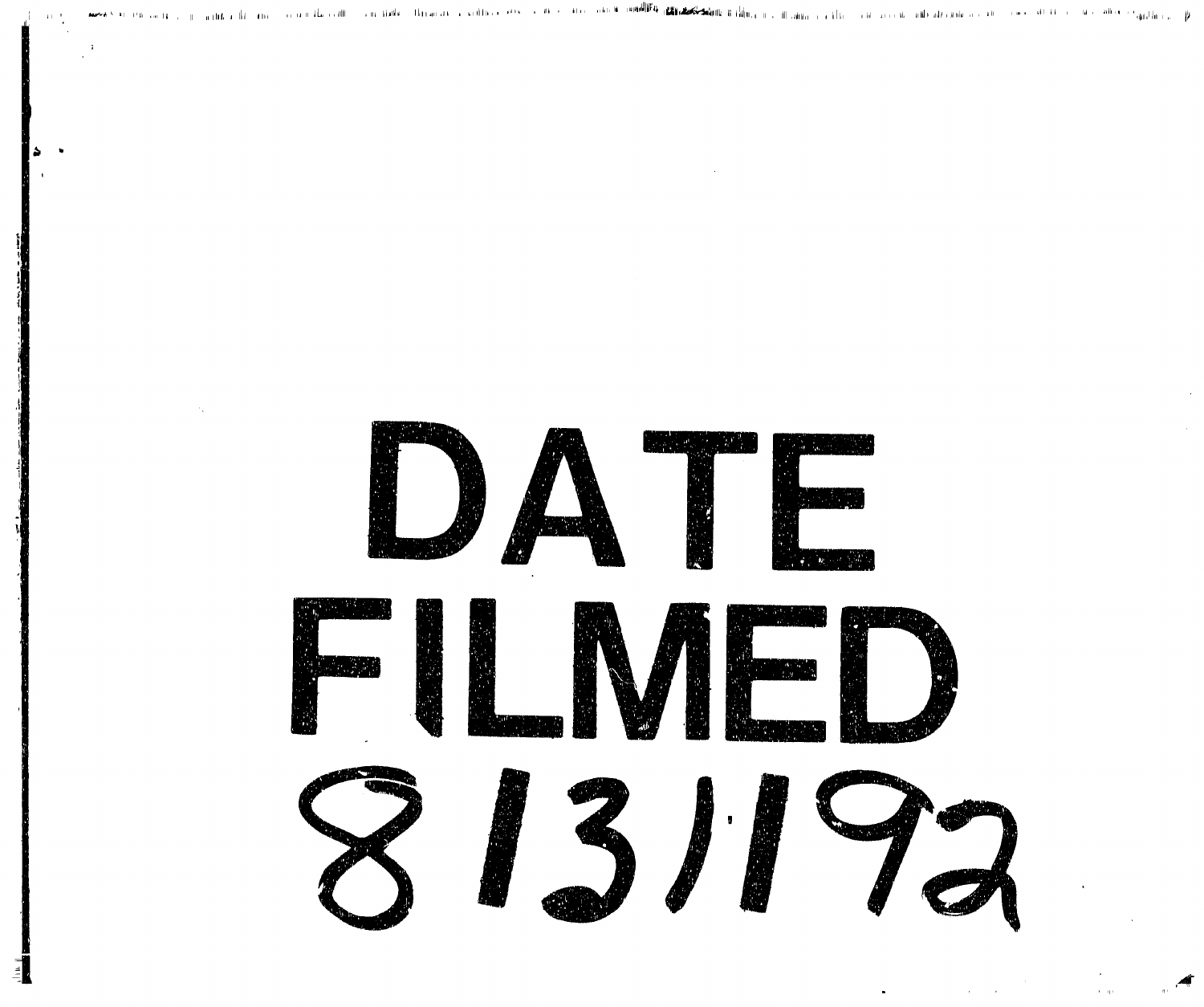